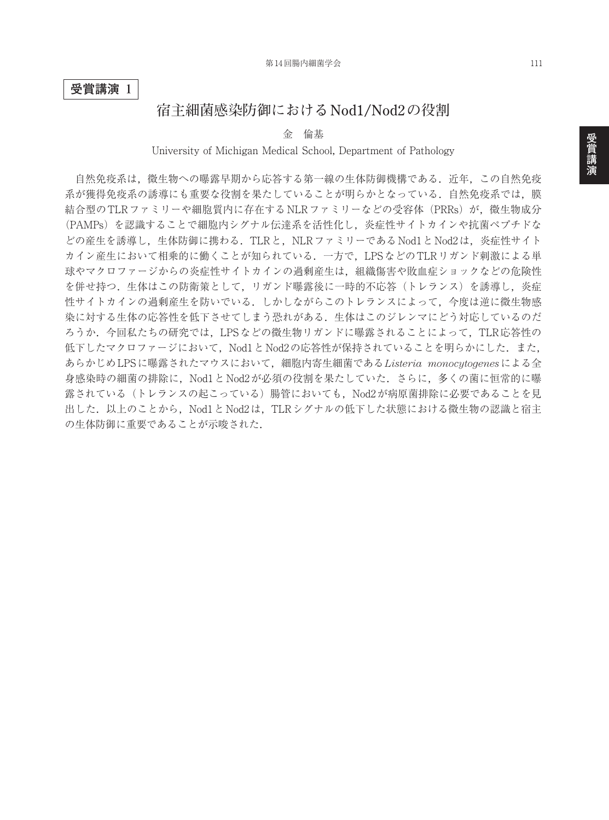**受賞講演 1**

## **宿主細菌感染防御における Nod1/Nod2 の役割**

金 倫基

University of Michigan Medical School, Department of Pathology

自然免疫系は、微生物への曝露早期から応答する第一線の生体防御機構である.近年,この自然免疫 系が獲得免疫系の誘導にも重要な役割を果たしていることが明らかとなっている.自然免疫系では、膜 結合型のTLRファミリーや細胞質内に存在するNLRファミリーなどの受容体 (PRRs) が, 微生物成分 (PAMPs)を認識することで細胞内シグナル伝達系を活性化し,炎症性サイトカインや抗菌ペプチドな どの産生を誘導し、生体防御に携わる. TLRと, NLRファミリーである Nod1と Nod2は、炎症性サイト カイン産生において相乗的に働くことが知られている.一方で,LPSなどのTLRリガンド刺激による単 球やマクロファージからの炎症性サイトカインの過剰産生は,組織傷害や敗血症ショックなどの危険性 を併せ持つ.生体はこの防衛策として、リガンド曝露後に一時的不応答(トレランス)を誘導し、炎症 性サイトカインの過剰産生を防いでいる.しかしながらこのトレランスによって,今度は逆に微生物感 染に対する生体の応答性を低下させてしまう恐れがある.生体はこのジレンマにどう対応しているのだ ろうか.今回私たちの研究では,LPSなどの微生物リガンドに曝露されることによって,TLR応答性の 低下したマクロファージにおいて、Nod1とNod2の応答性が保持されていることを明らかにした. また, あらかじめLPSに曝露されたマウスにおいて,細胞内寄生細菌である*Listeria monocytogenes*による全 身感染時の細菌の排除に,Nod1とNod2が必須の役割を果たしていた.さらに,多くの菌に恒常的に曝 露されている(トレランスの起こっている)腸管においても,Nod2が病原菌排除に必要であることを見 出した. 以上のことから、Nod1とNod2は、TLRシグナルの低下した状態における微生物の認識と宿主 の生体防御に重要であることが示唆された.